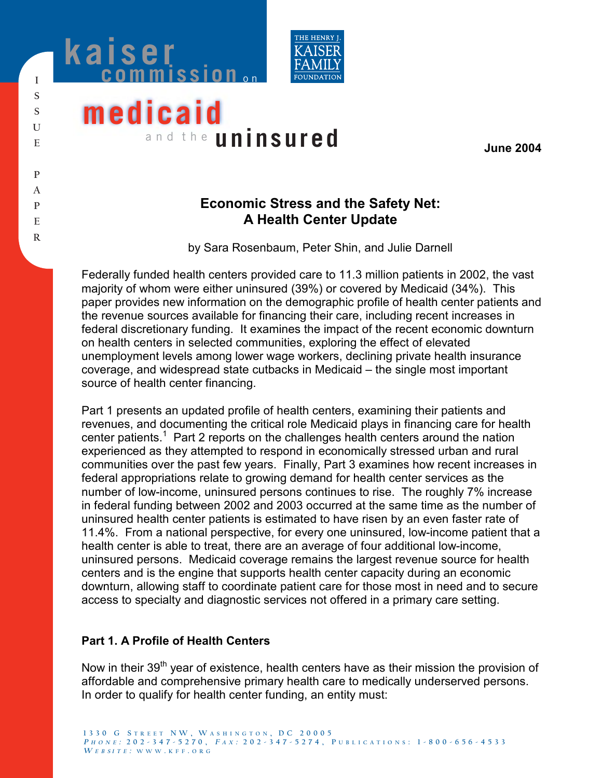



# **medicaid** and the **uninsured**

**June 2004** 

## **Economic Stress and the Safety Net: A Health Center Update**

by Sara Rosenbaum, Peter Shin, and Julie Darnell

Federally funded health centers provided care to 11.3 million patients in 2002, the vast majority of whom were either uninsured (39%) or covered by Medicaid (34%). This paper provides new information on the demographic profile of health center patients and the revenue sources available for financing their care, including recent increases in federal discretionary funding. It examines the impact of the recent economic downturn on health centers in selected communities, exploring the effect of elevated unemployment levels among lower wage workers, declining private health insurance coverage, and widespread state cutbacks in Medicaid – the single most important source of health center financing.

Part 1 presents an updated profile of health centers, examining their patients and revenues, and documenting the critical role Medicaid plays in financing care for health center patients.<sup>1</sup> Part 2 reports on the challenges health centers around the nation experienced as they attempted to respond in economically stressed urban and rural communities over the past few years. Finally, Part 3 examines how recent increases in federal appropriations relate to growing demand for health center services as the number of low-income, uninsured persons continues to rise. The roughly 7% increase in federal funding between 2002 and 2003 occurred at the same time as the number of uninsured health center patients is estimated to have risen by an even faster rate of 11.4%. From a national perspective, for every one uninsured, low-income patient that a health center is able to treat, there are an average of four additional low-income, uninsured persons. Medicaid coverage remains the largest revenue source for health centers and is the engine that supports health center capacity during an economic downturn, allowing staff to coordinate patient care for those most in need and to secure access to specialty and diagnostic services not offered in a primary care setting.

#### **Part 1. A Profile of Health Centers**

Now in their  $39<sup>th</sup>$  year of existence, health centers have as their mission the provision of affordable and comprehensive primary health care to medically underserved persons. In order to qualify for health center funding, an entity must: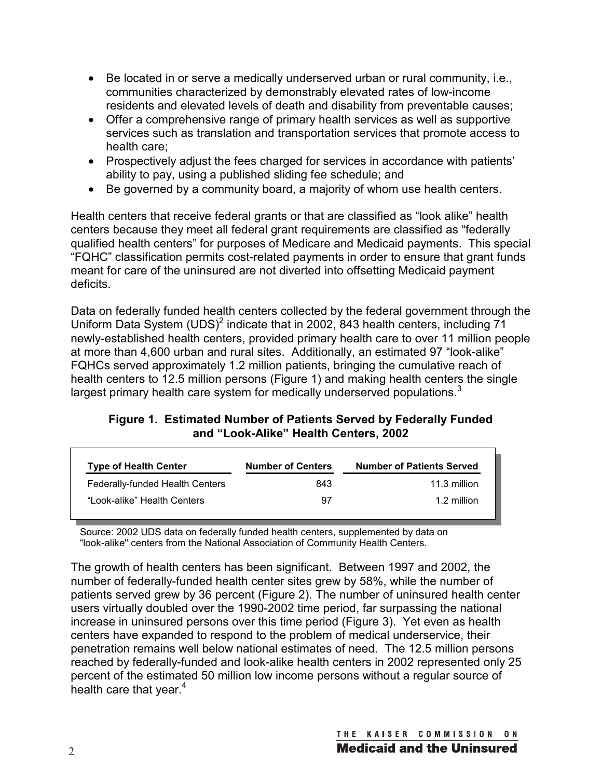- Be located in or serve a medically underserved urban or rural community, i.e., communities characterized by demonstrably elevated rates of low-income residents and elevated levels of death and disability from preventable causes;
- Offer a comprehensive range of primary health services as well as supportive services such as translation and transportation services that promote access to health care;
- Prospectively adjust the fees charged for services in accordance with patients' ability to pay, using a published sliding fee schedule; and
- Be governed by a community board, a majority of whom use health centers.

Health centers that receive federal grants or that are classified as "look alike" health centers because they meet all federal grant requirements are classified as "federally qualified health centers" for purposes of Medicare and Medicaid payments. This special "FQHC" classification permits cost-related payments in order to ensure that grant funds meant for care of the uninsured are not diverted into offsetting Medicaid payment deficits.

Data on federally funded health centers collected by the federal government through the Uniform Data System  $(UDS)^2$  indicate that in 2002, 843 health centers, including 71 newly-established health centers, provided primary health care to over 11 million people at more than 4,600 urban and rural sites. Additionally, an estimated 97 "look-alike" FQHCs served approximately 1.2 million patients, bringing the cumulative reach of health centers to 12.5 million persons (Figure 1) and making health centers the single largest primary health care system for medically underserved populations. $3$ 

#### **Figure 1. Estimated Number of Patients Served by Federally Funded and "Look-Alike" Health Centers, 2002**

| <b>Type of Health Center</b>    | <b>Number of Centers</b> | <b>Number of Patients Served</b> |
|---------------------------------|--------------------------|----------------------------------|
| Federally-funded Health Centers | 843                      | 11.3 million                     |
| "Look-alike" Health Centers     | 97                       | 1.2 million                      |

Source: 2002 UDS data on federally funded health centers, supplemented by data on "look-alike" centers from the National Association of Community Health Centers.

The growth of health centers has been significant. Between 1997 and 2002, the number of federally-funded health center sites grew by 58%, while the number of patients served grew by 36 percent (Figure 2). The number of uninsured health center users virtually doubled over the 1990-2002 time period, far surpassing the national increase in uninsured persons over this time period (Figure 3). Yet even as health centers have expanded to respond to the problem of medical underservice, their penetration remains well below national estimates of need. The 12.5 million persons reached by federally-funded and look-alike health centers in 2002 represented only 25 percent of the estimated 50 million low income persons without a regular source of health care that year. $4$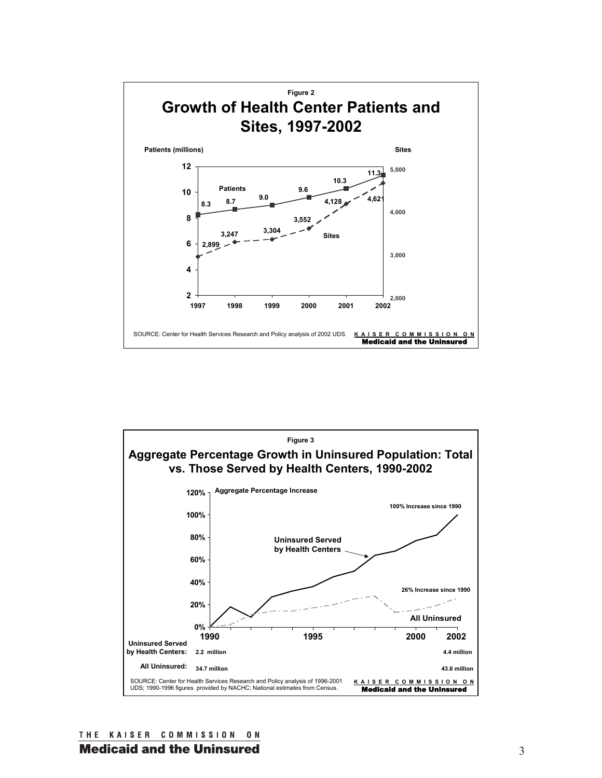



THE KAISER COMMISSION ON **Medicaid and the Uninsured**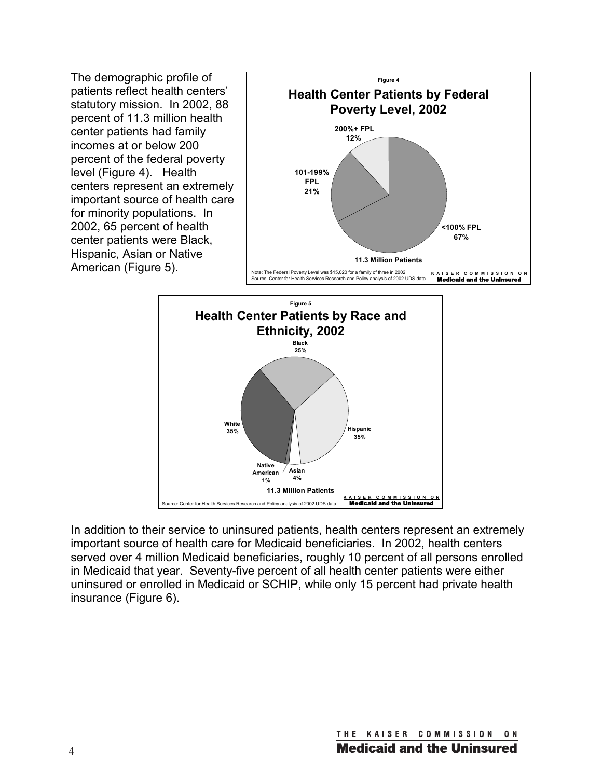The demographic profile of patients reflect health centers' statutory mission. In 2002, 88 percent of 11.3 million health center patients had family incomes at or below 200 percent of the federal poverty level (Figure 4). Health centers represent an extremely important source of health care for minority populations. In 2002, 65 percent of health center patients were Black, Hispanic, Asian or Native American (Figure 5).





In addition to their service to uninsured patients, health centers represent an extremely important source of health care for Medicaid beneficiaries. In 2002, health centers served over 4 million Medicaid beneficiaries, roughly 10 percent of all persons enrolled in Medicaid that year. Seventy-five percent of all health center patients were either uninsured or enrolled in Medicaid or SCHIP, while only 15 percent had private health insurance (Figure 6).

> THE KAISER COMMISSION  $0 N$ **Medicaid and the Uninsured**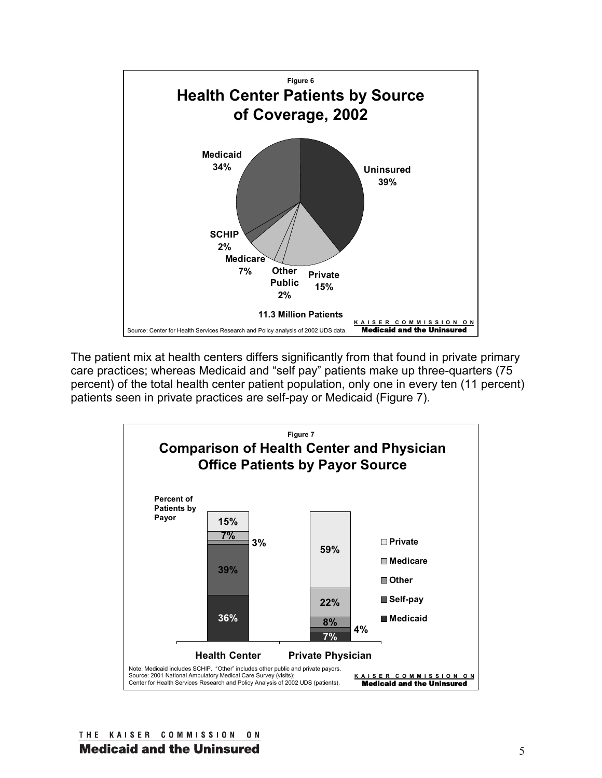

The patient mix at health centers differs significantly from that found in private primary care practices; whereas Medicaid and "self pay" patients make up three-quarters (75 percent) of the total health center patient population, only one in every ten (11 percent) patients seen in private practices are self-pay or Medicaid (Figure 7).

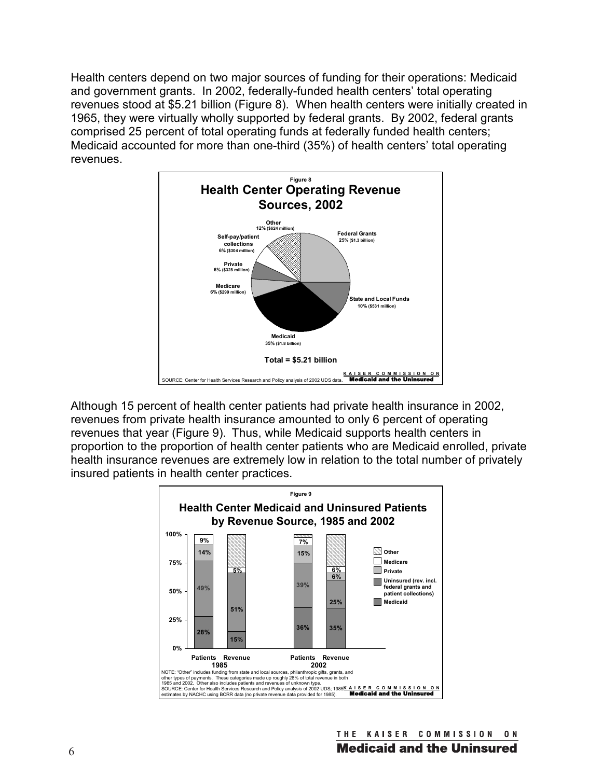Health centers depend on two major sources of funding for their operations: Medicaid and government grants. In 2002, federally-funded health centers' total operating revenues stood at \$5.21 billion (Figure 8). When health centers were initially created in 1965, they were virtually wholly supported by federal grants. By 2002, federal grants comprised 25 percent of total operating funds at federally funded health centers; Medicaid accounted for more than one-third (35%) of health centers' total operating revenues.



Although 15 percent of health center patients had private health insurance in 2002, revenues from private health insurance amounted to only 6 percent of operating revenues that year (Figure 9). Thus, while Medicaid supports health centers in proportion to the proportion of health center patients who are Medicaid enrolled, private health insurance revenues are extremely low in relation to the total number of privately insured patients in health center practices.

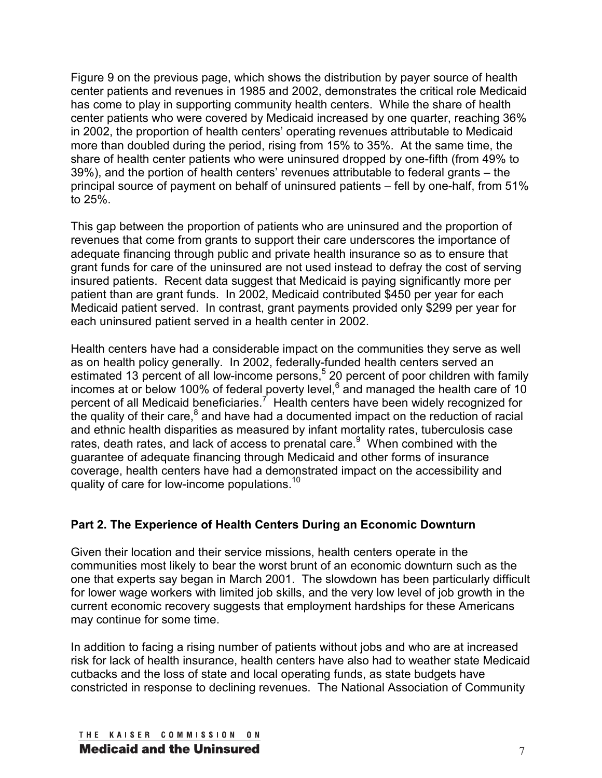Figure 9 on the previous page, which shows the distribution by payer source of health center patients and revenues in 1985 and 2002, demonstrates the critical role Medicaid has come to play in supporting community health centers. While the share of health center patients who were covered by Medicaid increased by one quarter, reaching 36% in 2002, the proportion of health centers' operating revenues attributable to Medicaid more than doubled during the period, rising from 15% to 35%. At the same time, the share of health center patients who were uninsured dropped by one-fifth (from 49% to 39%), and the portion of health centers' revenues attributable to federal grants – the principal source of payment on behalf of uninsured patients – fell by one-half, from 51% to 25%.

This gap between the proportion of patients who are uninsured and the proportion of revenues that come from grants to support their care underscores the importance of adequate financing through public and private health insurance so as to ensure that grant funds for care of the uninsured are not used instead to defray the cost of serving insured patients. Recent data suggest that Medicaid is paying significantly more per patient than are grant funds. In 2002, Medicaid contributed \$450 per year for each Medicaid patient served. In contrast, grant payments provided only \$299 per year for each uninsured patient served in a health center in 2002.

Health centers have had a considerable impact on the communities they serve as well as on health policy generally. In 2002, federally-funded health centers served an estimated 13 percent of all low-income persons,<sup>5</sup> 20 percent of poor children with family incomes at or below 100% of federal poverty level,  $6$  and managed the health care of 10 percent of all Medicaid beneficiaries.<sup>7</sup> Health centers have been widely recognized for the quality of their care, $8$  and have had a documented impact on the reduction of racial and ethnic health disparities as measured by infant mortality rates, tuberculosis case rates, death rates, and lack of access to prenatal care.<sup>9</sup> When combined with the guarantee of adequate financing through Medicaid and other forms of insurance coverage, health centers have had a demonstrated impact on the accessibility and quality of care for low-income populations.<sup>10</sup>

#### **Part 2. The Experience of Health Centers During an Economic Downturn**

Given their location and their service missions, health centers operate in the communities most likely to bear the worst brunt of an economic downturn such as the one that experts say began in March 2001. The slowdown has been particularly difficult for lower wage workers with limited job skills, and the very low level of job growth in the current economic recovery suggests that employment hardships for these Americans may continue for some time.

In addition to facing a rising number of patients without jobs and who are at increased risk for lack of health insurance, health centers have also had to weather state Medicaid cutbacks and the loss of state and local operating funds, as state budgets have constricted in response to declining revenues. The National Association of Community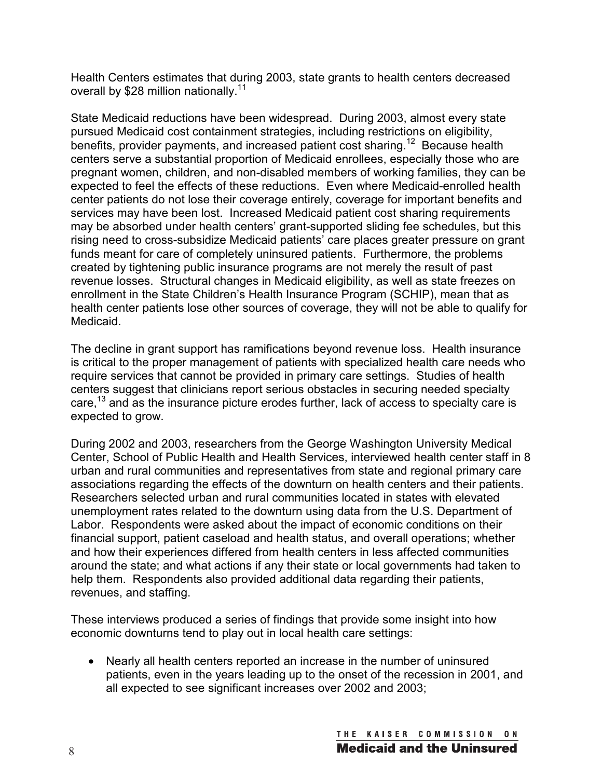Health Centers estimates that during 2003, state grants to health centers decreased overall by \$28 million nationally.<sup>11</sup>

State Medicaid reductions have been widespread. During 2003, almost every state pursued Medicaid cost containment strategies, including restrictions on eligibility, benefits, provider payments, and increased patient cost sharing.<sup>12</sup> Because health centers serve a substantial proportion of Medicaid enrollees, especially those who are pregnant women, children, and non-disabled members of working families, they can be expected to feel the effects of these reductions. Even where Medicaid-enrolled health center patients do not lose their coverage entirely, coverage for important benefits and services may have been lost. Increased Medicaid patient cost sharing requirements may be absorbed under health centers' grant-supported sliding fee schedules, but this rising need to cross-subsidize Medicaid patients' care places greater pressure on grant funds meant for care of completely uninsured patients. Furthermore, the problems created by tightening public insurance programs are not merely the result of past revenue losses. Structural changes in Medicaid eligibility, as well as state freezes on enrollment in the State Children's Health Insurance Program (SCHIP), mean that as health center patients lose other sources of coverage, they will not be able to qualify for Medicaid.

The decline in grant support has ramifications beyond revenue loss. Health insurance is critical to the proper management of patients with specialized health care needs who require services that cannot be provided in primary care settings. Studies of health centers suggest that clinicians report serious obstacles in securing needed specialty care,<sup>13</sup> and as the insurance picture erodes further, lack of access to specialty care is expected to grow.

During 2002 and 2003, researchers from the George Washington University Medical Center, School of Public Health and Health Services, interviewed health center staff in 8 urban and rural communities and representatives from state and regional primary care associations regarding the effects of the downturn on health centers and their patients. Researchers selected urban and rural communities located in states with elevated unemployment rates related to the downturn using data from the U.S. Department of Labor. Respondents were asked about the impact of economic conditions on their financial support, patient caseload and health status, and overall operations; whether and how their experiences differed from health centers in less affected communities around the state; and what actions if any their state or local governments had taken to help them. Respondents also provided additional data regarding their patients, revenues, and staffing.

These interviews produced a series of findings that provide some insight into how economic downturns tend to play out in local health care settings:

• Nearly all health centers reported an increase in the number of uninsured patients, even in the years leading up to the onset of the recession in 2001, and all expected to see significant increases over 2002 and 2003;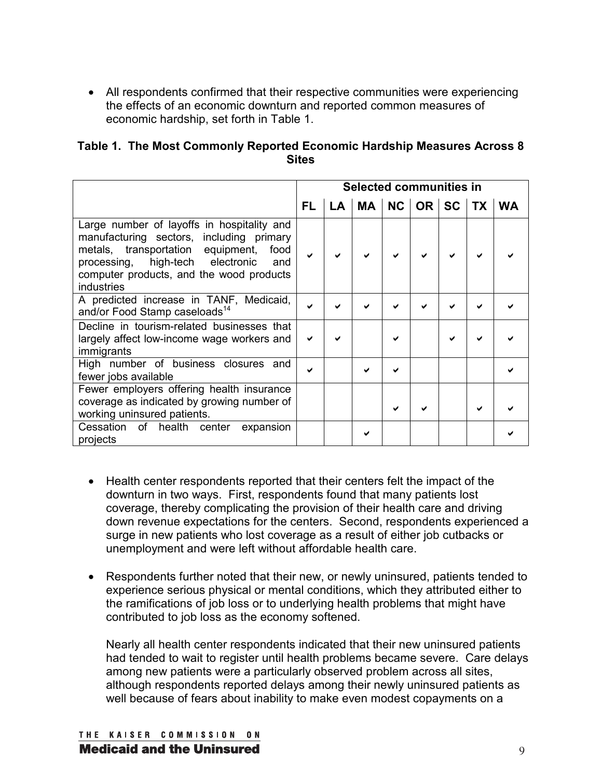• All respondents confirmed that their respective communities were experiencing the effects of an economic downturn and reported common measures of economic hardship, set forth in Table 1.

| Table 1. The Most Commonly Reported Economic Hardship Measures Across 8 |
|-------------------------------------------------------------------------|
| <b>Sites</b>                                                            |

|                                                                                                                                                                                                                                                 | <b>Selected communities in</b> |  |                                  |  |  |  |  |  |  |
|-------------------------------------------------------------------------------------------------------------------------------------------------------------------------------------------------------------------------------------------------|--------------------------------|--|----------------------------------|--|--|--|--|--|--|
|                                                                                                                                                                                                                                                 | FL.                            |  | LA   MA   NC   OR   SC   TX   WA |  |  |  |  |  |  |
| Large number of layoffs in hospitality and<br>manufacturing sectors, including primary<br>metals, transportation equipment,<br>food<br>processing, high-tech electronic<br>and<br>computer products, and the wood products<br><b>industries</b> |                                |  |                                  |  |  |  |  |  |  |
| A predicted increase in TANF, Medicaid,<br>and/or Food Stamp caseloads <sup>14</sup>                                                                                                                                                            |                                |  |                                  |  |  |  |  |  |  |
| Decline in tourism-related businesses that<br>largely affect low-income wage workers and<br>immigrants                                                                                                                                          |                                |  |                                  |  |  |  |  |  |  |
| High number of business closures and<br>fewer jobs available                                                                                                                                                                                    |                                |  |                                  |  |  |  |  |  |  |
| Fewer employers offering health insurance<br>coverage as indicated by growing number of<br>working uninsured patients.                                                                                                                          |                                |  |                                  |  |  |  |  |  |  |
| Cessation of health center<br>expansion<br>projects                                                                                                                                                                                             |                                |  |                                  |  |  |  |  |  |  |

- Health center respondents reported that their centers felt the impact of the downturn in two ways. First, respondents found that many patients lost coverage, thereby complicating the provision of their health care and driving down revenue expectations for the centers. Second, respondents experienced a surge in new patients who lost coverage as a result of either job cutbacks or unemployment and were left without affordable health care.
- Respondents further noted that their new, or newly uninsured, patients tended to experience serious physical or mental conditions, which they attributed either to the ramifications of job loss or to underlying health problems that might have contributed to job loss as the economy softened.

Nearly all health center respondents indicated that their new uninsured patients had tended to wait to register until health problems became severe. Care delays among new patients were a particularly observed problem across all sites, although respondents reported delays among their newly uninsured patients as well because of fears about inability to make even modest copayments on a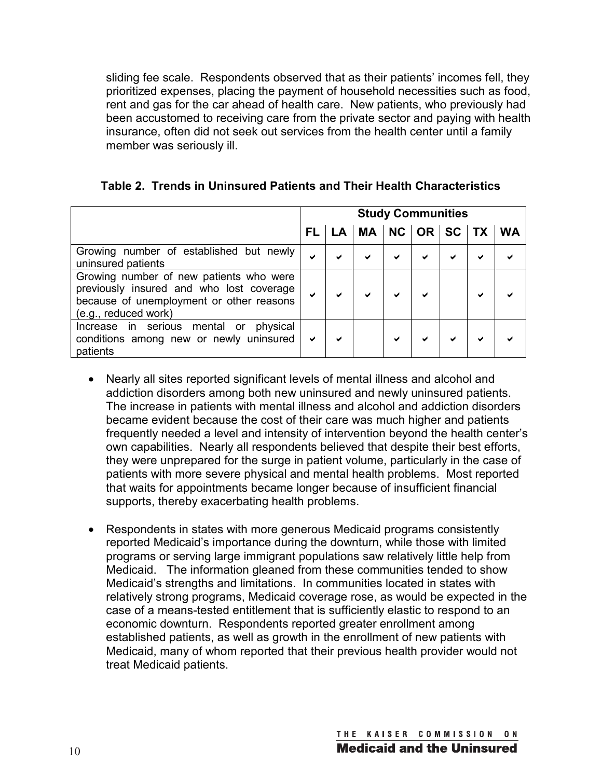sliding fee scale. Respondents observed that as their patients' incomes fell, they prioritized expenses, placing the payment of household necessities such as food, rent and gas for the car ahead of health care. New patients, who previously had been accustomed to receiving care from the private sector and paying with health insurance, often did not seek out services from the health center until a family member was seriously ill.

|  |  |  |  |  | Table 2. Trends in Uninsured Patients and Their Health Characteristics |
|--|--|--|--|--|------------------------------------------------------------------------|
|--|--|--|--|--|------------------------------------------------------------------------|

|                                                                                                                                                         | <b>Study Communities</b> |   |                                  |   |   |   |   |  |
|---------------------------------------------------------------------------------------------------------------------------------------------------------|--------------------------|---|----------------------------------|---|---|---|---|--|
|                                                                                                                                                         | FL.                      |   | LA   MA   NC   OR   SC   TX   WA |   |   |   |   |  |
| Growing number of established but newly<br>uninsured patients                                                                                           | ✔                        | ✔ | ✔                                | ✔ | ✔ | ✔ | ✔ |  |
| Growing number of new patients who were<br>previously insured and who lost coverage<br>because of unemployment or other reasons<br>(e.g., reduced work) | $\checkmark$             | ✔ | ✔                                | ✔ | ✔ |   | ✔ |  |
| Increase in serious<br>mental or<br>physical<br>conditions among new or newly uninsured<br>patients                                                     | $\checkmark$             | ✔ |                                  | ✔ | ✔ |   | ✔ |  |

- Nearly all sites reported significant levels of mental illness and alcohol and addiction disorders among both new uninsured and newly uninsured patients. The increase in patients with mental illness and alcohol and addiction disorders became evident because the cost of their care was much higher and patients frequently needed a level and intensity of intervention beyond the health center's own capabilities. Nearly all respondents believed that despite their best efforts, they were unprepared for the surge in patient volume, particularly in the case of patients with more severe physical and mental health problems. Most reported that waits for appointments became longer because of insufficient financial supports, thereby exacerbating health problems.
- Respondents in states with more generous Medicaid programs consistently reported Medicaid's importance during the downturn, while those with limited programs or serving large immigrant populations saw relatively little help from Medicaid. The information gleaned from these communities tended to show Medicaid's strengths and limitations. In communities located in states with relatively strong programs, Medicaid coverage rose, as would be expected in the case of a means-tested entitlement that is sufficiently elastic to respond to an economic downturn. Respondents reported greater enrollment among established patients, as well as growth in the enrollment of new patients with Medicaid, many of whom reported that their previous health provider would not treat Medicaid patients.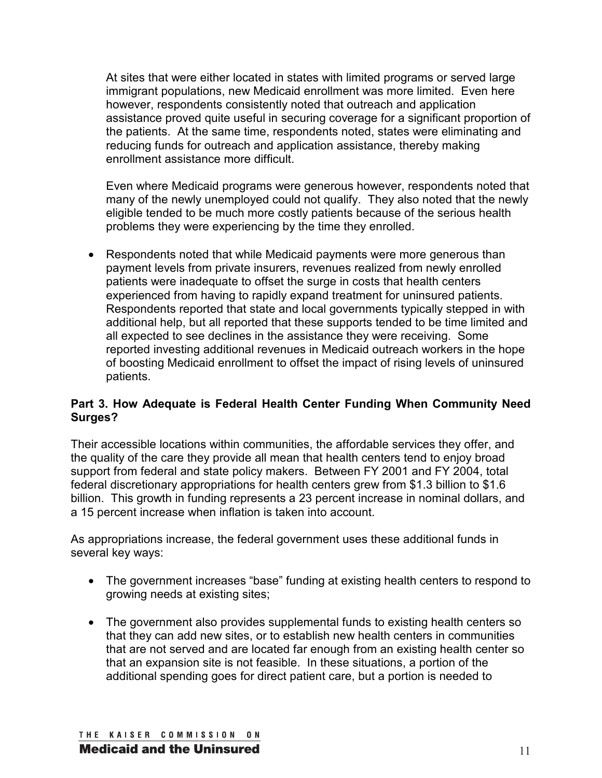At sites that were either located in states with limited programs or served large immigrant populations, new Medicaid enrollment was more limited. Even here however, respondents consistently noted that outreach and application assistance proved quite useful in securing coverage for a significant proportion of the patients. At the same time, respondents noted, states were eliminating and reducing funds for outreach and application assistance, thereby making enrollment assistance more difficult.

Even where Medicaid programs were generous however, respondents noted that many of the newly unemployed could not qualify. They also noted that the newly eligible tended to be much more costly patients because of the serious health problems they were experiencing by the time they enrolled.

• Respondents noted that while Medicaid payments were more generous than payment levels from private insurers, revenues realized from newly enrolled patients were inadequate to offset the surge in costs that health centers experienced from having to rapidly expand treatment for uninsured patients. Respondents reported that state and local governments typically stepped in with additional help, but all reported that these supports tended to be time limited and all expected to see declines in the assistance they were receiving. Some reported investing additional revenues in Medicaid outreach workers in the hope of boosting Medicaid enrollment to offset the impact of rising levels of uninsured patients.

#### **Part 3. How Adequate is Federal Health Center Funding When Community Need Surges?**

Their accessible locations within communities, the affordable services they offer, and the quality of the care they provide all mean that health centers tend to enjoy broad support from federal and state policy makers. Between FY 2001 and FY 2004, total federal discretionary appropriations for health centers grew from \$1.3 billion to \$1.6 billion. This growth in funding represents a 23 percent increase in nominal dollars, and a 15 percent increase when inflation is taken into account.

As appropriations increase, the federal government uses these additional funds in several key ways:

- The government increases "base" funding at existing health centers to respond to growing needs at existing sites;
- The government also provides supplemental funds to existing health centers so that they can add new sites, or to establish new health centers in communities that are not served and are located far enough from an existing health center so that an expansion site is not feasible. In these situations, a portion of the additional spending goes for direct patient care, but a portion is needed to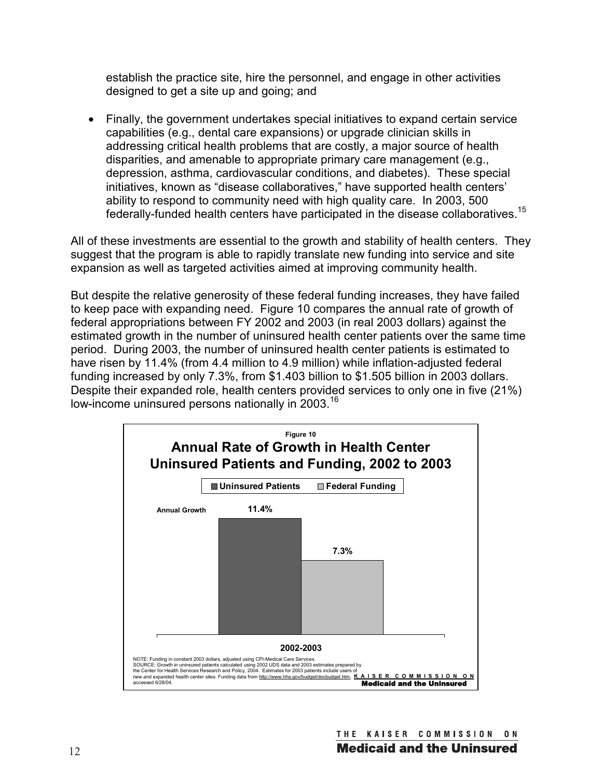establish the practice site, hire the personnel, and engage in other activities designed to get a site up and going; and

• Finally, the government undertakes special initiatives to expand certain service capabilities (e.g., dental care expansions) or upgrade clinician skills in addressing critical health problems that are costly, a major source of health disparities, and amenable to appropriate primary care management (e.g., depression, asthma, cardiovascular conditions, and diabetes). These special initiatives, known as "disease collaboratives," have supported health centers' ability to respond to community need with high quality care. In 2003, 500 federally-funded health centers have participated in the disease collaboratives.<sup>15</sup>

All of these investments are essential to the growth and stability of health centers. They suggest that the program is able to rapidly translate new funding into service and site expansion as well as targeted activities aimed at improving community health.

But despite the relative generosity of these federal funding increases, they have failed to keep pace with expanding need. Figure 10 compares the annual rate of growth of federal appropriations between FY 2002 and 2003 (in real 2003 dollars) against the estimated growth in the number of uninsured health center patients over the same time period. During 2003, the number of uninsured health center patients is estimated to have risen by 11.4% (from 4.4 million to 4.9 million) while inflation-adjusted federal funding increased by only 7.3%, from \$1.403 billion to \$1.505 billion in 2003 dollars. Despite their expanded role, health centers provided services to only one in five (21%) low-income uninsured persons nationally in 2003.<sup>16</sup>

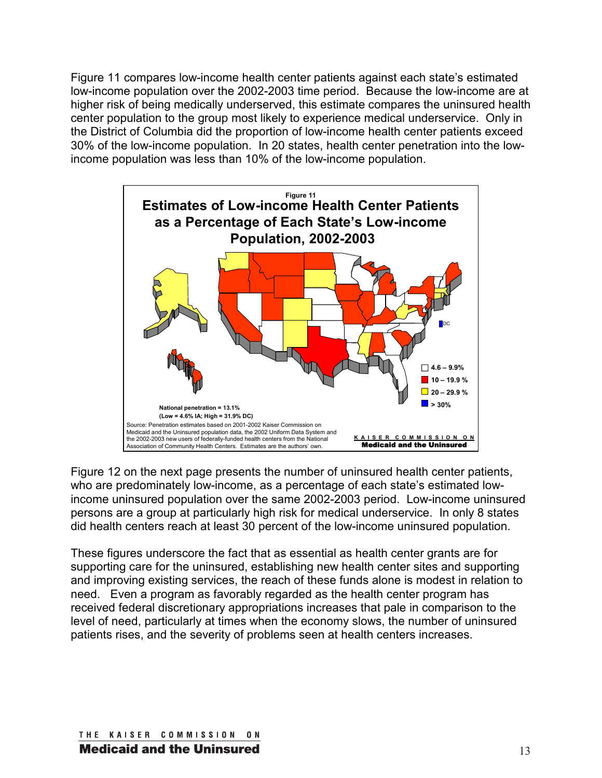Figure 11 compares low-income health center patients against each state's estimated low-income population over the 2002-2003 time period. Because the low-income are at higher risk of being medically underserved, this estimate compares the uninsured health center population to the group most likely to experience medical underservice. Only in the District of Columbia did the proportion of low-income health center patients exceed 30% of the low-income population. In 20 states, health center penetration into the lowincome population was less than 10% of the low-income population.



Figure 12 on the next page presents the number of uninsured health center patients, who are predominately low-income, as a percentage of each state's estimated lowincome uninsured population over the same 2002-2003 period. Low-income uninsured persons are a group at particularly high risk for medical underservice. In only 8 states did health centers reach at least 30 percent of the low-income uninsured population.

These figures underscore the fact that as essential as health center grants are for supporting care for the uninsured, establishing new health center sites and supporting and improving existing services, the reach of these funds alone is modest in relation to need. Even a program as favorably regarded as the health center program has received federal discretionary appropriations increases that pale in comparison to the level of need, particularly at times when the economy slows, the number of uninsured patients rises, and the severity of problems seen at health centers increases.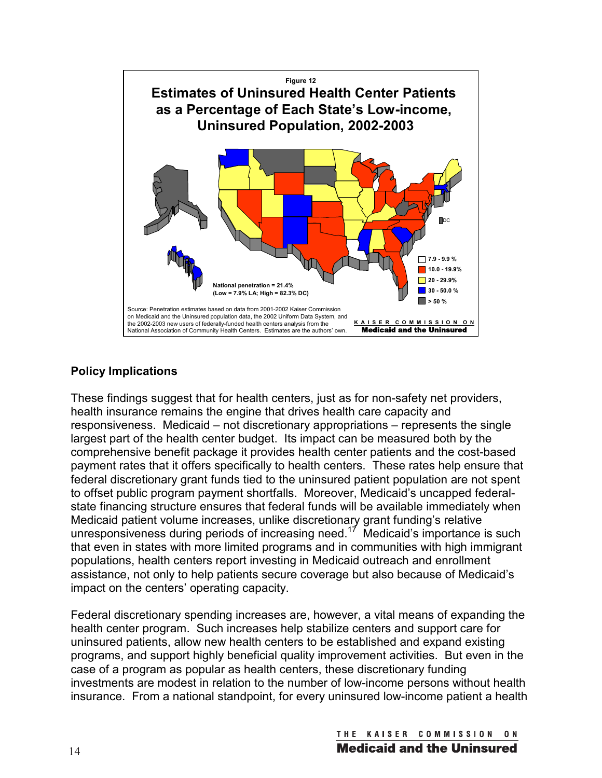

### **Policy Implications**

These findings suggest that for health centers, just as for non-safety net providers, health insurance remains the engine that drives health care capacity and responsiveness. Medicaid – not discretionary appropriations – represents the single largest part of the health center budget. Its impact can be measured both by the comprehensive benefit package it provides health center patients and the cost-based payment rates that it offers specifically to health centers. These rates help ensure that federal discretionary grant funds tied to the uninsured patient population are not spent to offset public program payment shortfalls. Moreover, Medicaid's uncapped federalstate financing structure ensures that federal funds will be available immediately when Medicaid patient volume increases, unlike discretionary grant funding's relative unresponsiveness during periods of increasing need.<sup>17</sup> Medicaid's importance is such that even in states with more limited programs and in communities with high immigrant populations, health centers report investing in Medicaid outreach and enrollment assistance, not only to help patients secure coverage but also because of Medicaid's impact on the centers' operating capacity.

Federal discretionary spending increases are, however, a vital means of expanding the health center program. Such increases help stabilize centers and support care for uninsured patients, allow new health centers to be established and expand existing programs, and support highly beneficial quality improvement activities. But even in the case of a program as popular as health centers, these discretionary funding investments are modest in relation to the number of low-income persons without health insurance. From a national standpoint, for every uninsured low-income patient a health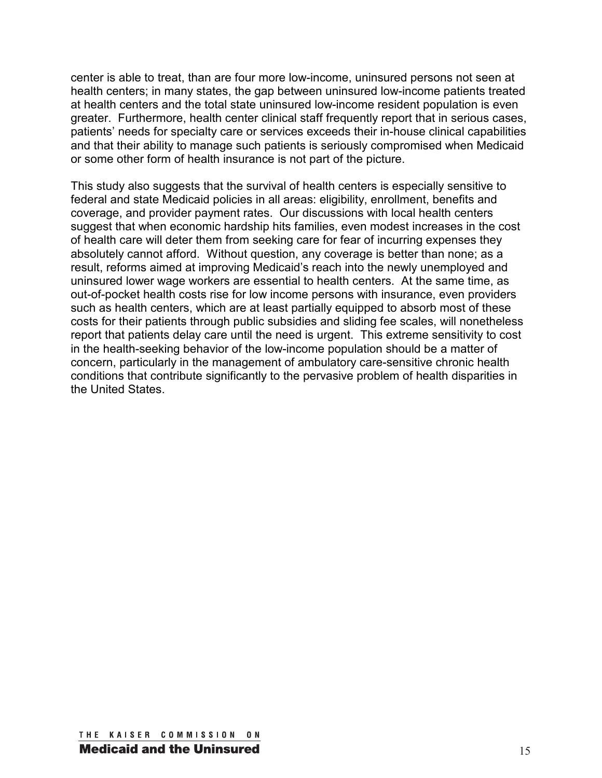center is able to treat, than are four more low-income, uninsured persons not seen at health centers; in many states, the gap between uninsured low-income patients treated at health centers and the total state uninsured low-income resident population is even greater. Furthermore, health center clinical staff frequently report that in serious cases, patients' needs for specialty care or services exceeds their in-house clinical capabilities and that their ability to manage such patients is seriously compromised when Medicaid or some other form of health insurance is not part of the picture.

This study also suggests that the survival of health centers is especially sensitive to federal and state Medicaid policies in all areas: eligibility, enrollment, benefits and coverage, and provider payment rates. Our discussions with local health centers suggest that when economic hardship hits families, even modest increases in the cost of health care will deter them from seeking care for fear of incurring expenses they absolutely cannot afford. Without question, any coverage is better than none; as a result, reforms aimed at improving Medicaid's reach into the newly unemployed and uninsured lower wage workers are essential to health centers. At the same time, as out-of-pocket health costs rise for low income persons with insurance, even providers such as health centers, which are at least partially equipped to absorb most of these costs for their patients through public subsidies and sliding fee scales, will nonetheless report that patients delay care until the need is urgent. This extreme sensitivity to cost in the health-seeking behavior of the low-income population should be a matter of concern, particularly in the management of ambulatory care-sensitive chronic health conditions that contribute significantly to the pervasive problem of health disparities in the United States.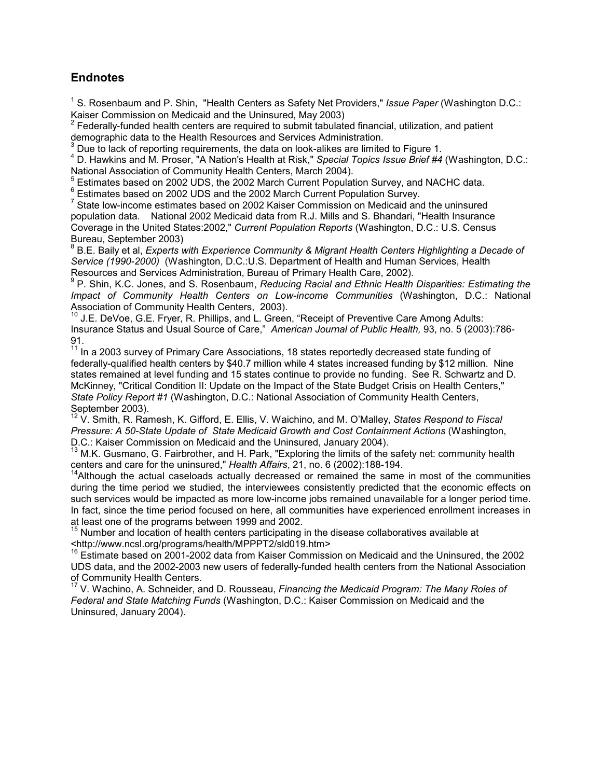#### **Endnotes**

<sup>1</sup> S. Rosenbaum and P. Shin, "Health Centers as Safety Net Providers," Issue Paper (Washington D.C.: Kaiser Commission on Medicaid and the Uninsured, May 2003)

2 Federally-funded health centers are required to submit tabulated financial, utilization, and patient demographic data to the Health Resources and Services Administration.

 $3$  Due to lack of reporting requirements, the data on look-alikes are limited to Figure 1.

4 D. Hawkins and M. Proser, "A Nation's Health at Risk," *Special Topics Issue Brief #4* (Washington, D.C.: National Association of Community Health Centers, March 2004). 5

 $^5$  Estimates based on 2002 UDS, the 2002 March Current Population Survey, and NACHC data.<br> $^6$  Estimates based on 2002 UDS and the 2002 March Current Population Survey.

Estimates based on 2002 UDS and the 2002 March Current Population Survey.

<sup>7</sup> State low-income estimates based on 2002 Kaiser Commission on Medicaid and the uninsured population data. National 2002 Medicaid data from R.J. Mills and S. Bhandari, "Health Insurance Coverage in the United States:2002," *Current Population Reports* (Washington, D.C.: U.S. Census Bureau, September 2003)

8 B.E. Baily et al, *Experts with Experience Community & Migrant Health Centers Highlighting a Decade of Service (1990-2000)* (Washington, D.C.:U.S. Department of Health and Human Services, Health Resources and Services Administration, Bureau of Primary Health Care, 2002).

9 P. Shin, K.C. Jones, and S. Rosenbaum, *Reducing Racial and Ethnic Health Disparities: Estimating the Impact of Community Health Centers on Low-income Communities* (Washington, D.C.: National Association of Community Health Centers, 2003).

<sup>10</sup> J.E. DeVoe, G.E. Fryer, R. Phillips, and L. Green, "Receipt of Preventive Care Among Adults: Insurance Status and Usual Source of Care," *American Journal of Public Health,* 93, no. 5 (2003):786- 91.

<sup>11</sup> In a 2003 survey of Primary Care Associations, 18 states reportedly decreased state funding of federally-qualified health centers by \$40.7 million while 4 states increased funding by \$12 million. Nine states remained at level funding and 15 states continue to provide no funding. See R. Schwartz and D. McKinney, "Critical Condition II: Update on the Impact of the State Budget Crisis on Health Centers," *State Policy Report #1* (Washington, D.C.: National Association of Community Health Centers, September 2003).

12 V. Smith, R. Ramesh, K. Gifford, E. Ellis, V. Waichino, and M. O'Malley, *States Respond to Fiscal Pressure: A 50-State Update of State Medicaid Growth and Cost Containment Actions* (Washington, D.C.: Kaiser Commission on Medicaid and the Uninsured, January 2004).

<sup>13</sup> M.K. Gusmano, G. Fairbrother, and H. Park, "Exploring the limits of the safety net: community health centers and care for the uninsured," *Health Affairs*, 21, no. 6 (2002):188-194.<br><sup>14</sup>Although the actual caseloads actually decreased or remained the same in most of the communities

during the time period we studied, the interviewees consistently predicted that the economic effects on such services would be impacted as more low-income jobs remained unavailable for a longer period time. In fact, since the time period focused on here, all communities have experienced enrollment increases in at least one of the programs between 1999 and 2002.

 $15$  Number and location of health centers participating in the disease collaboratives available at

<http://www.ncsl.org/programs/health/MPPPT2/sld019.htm> 16 Estimate based on 2001-2002 data from Kaiser Commission on Medicaid and the Uninsured, the 2002 UDS data, and the 2002-2003 new users of federally-funded health centers from the National Association of Community Health Centers.

<sup>17</sup> V. Wachino, A. Schneider, and D. Rousseau, *Financing the Medicaid Program: The Many Roles of Federal and State Matching Funds* (Washington, D.C.: Kaiser Commission on Medicaid and the Uninsured, January 2004).